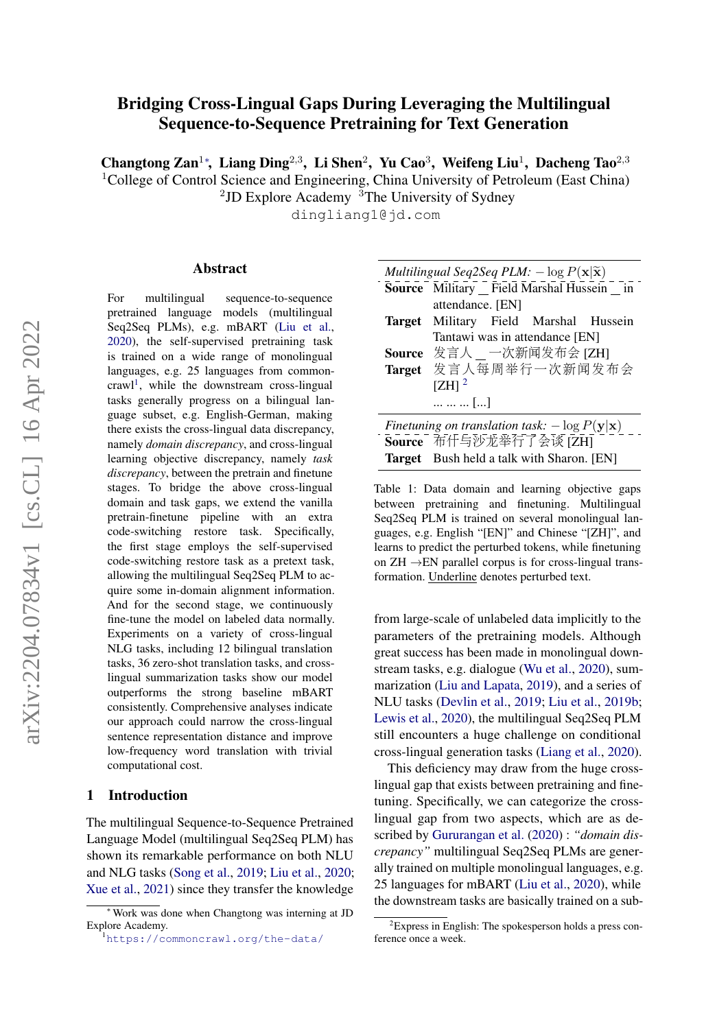# Bridging Cross-Lingual Gaps During Leveraging the Multilingual Sequence-to-Sequence Pretraining for Text Generation

Changtong Zan<sup>1</sup><sup>\*</sup>, Liang Ding<sup>2,3</sup>, Li Shen<sup>2</sup>, Yu Cao<sup>3</sup>, Weifeng Liu<sup>1</sup>, Dacheng Tao<sup>2,3</sup> <sup>1</sup>College of Control Science and Engineering, China University of Petroleum (East China)

 $2$ JD Explore Academy  $3$ The University of Sydney

dingliang1@jd.com

#### Abstract

For multilingual sequence-to-sequence pretrained language models (multilingual Seq2Seq PLMs), e.g. mBART [\(Liu et al.,](#page-9-0) [2020\)](#page-9-0), the self-supervised pretraining task is trained on a wide range of monolingual languages, e.g. 25 languages from common-crawl<sup>[1](#page-0-0)</sup>, while the downstream cross-lingual tasks generally progress on a bilingual language subset, e.g. English-German, making there exists the cross-lingual data discrepancy, namely *domain discrepancy*, and cross-lingual learning objective discrepancy, namely *task discrepancy*, between the pretrain and finetune stages. To bridge the above cross-lingual domain and task gaps, we extend the vanilla pretrain-finetune pipeline with an extra code-switching restore task. Specifically, the first stage employs the self-supervised code-switching restore task as a pretext task, allowing the multilingual Seq2Seq PLM to acquire some in-domain alignment information. And for the second stage, we continuously fine-tune the model on labeled data normally. Experiments on a variety of cross-lingual NLG tasks, including 12 bilingual translation tasks, 36 zero-shot translation tasks, and crosslingual summarization tasks show our model outperforms the strong baseline mBART consistently. Comprehensive analyses indicate our approach could narrow the cross-lingual sentence representation distance and improve low-frequency word translation with trivial computational cost.

## 1 Introduction

The multilingual Sequence-to-Sequence Pretrained Language Model (multilingual Seq2Seq PLM) has shown its remarkable performance on both NLU and NLG tasks [\(Song et al.,](#page-9-1) [2019;](#page-9-1) [Liu et al.,](#page-9-0) [2020;](#page-9-0) [Xue et al.,](#page-9-2) [2021\)](#page-9-2) since they transfer the knowledge

<span id="page-0-2"></span>

| Multilingual Seq2Seq PLM: $-\log P(\mathbf{x} \tilde{\mathbf{x}})$ |                                                  |  |  |  |  |  |  |
|--------------------------------------------------------------------|--------------------------------------------------|--|--|--|--|--|--|
|                                                                    | Source Military Field Marshal Hussein _ in       |  |  |  |  |  |  |
|                                                                    | attendance. [EN]                                 |  |  |  |  |  |  |
|                                                                    | Target Military Field Marshal Hussein            |  |  |  |  |  |  |
|                                                                    | Tantawi was in attendance [EN]                   |  |  |  |  |  |  |
|                                                                    | Source 发言人 一次新闻发布会 [ZH]                          |  |  |  |  |  |  |
|                                                                    | Target 发言人每周举行一次新闻发布会                            |  |  |  |  |  |  |
|                                                                    | $[ZH]$ <sup>2</sup>                              |  |  |  |  |  |  |
|                                                                    | $\ldots \ldots \ldots$ []                        |  |  |  |  |  |  |
| Finetuning on translation task: $-\log P(y x)$                     |                                                  |  |  |  |  |  |  |
|                                                                    | Source 布什与沙龙举行了会谈 [ZH]                           |  |  |  |  |  |  |
|                                                                    | <b>Target</b> Bush held a talk with Sharon. [EN] |  |  |  |  |  |  |

Table 1: Data domain and learning objective gaps between pretraining and finetuning. Multilingual Seq2Seq PLM is trained on several monolingual languages, e.g. English "[EN]" and Chinese "[ZH]", and learns to predict the perturbed tokens, while finetuning on  $ZH \rightarrow EN$  parallel corpus is for cross-lingual transformation. Underline denotes perturbed text.

from large-scale of unlabeled data implicitly to the parameters of the pretraining models. Although great success has been made in monolingual downstream tasks, e.g. dialogue [\(Wu et al.,](#page-9-3) [2020\)](#page-9-3), summarization [\(Liu and Lapata,](#page-9-4) [2019\)](#page-9-4), and a series of NLU tasks [\(Devlin et al.,](#page-8-0) [2019;](#page-8-0) [Liu et al.,](#page-9-5) [2019b;](#page-9-5) [Lewis et al.,](#page-8-1) [2020\)](#page-8-1), the multilingual Seq2Seq PLM still encounters a huge challenge on conditional cross-lingual generation tasks [\(Liang et al.,](#page-9-6) [2020\)](#page-9-6).

This deficiency may draw from the huge crosslingual gap that exists between pretraining and finetuning. Specifically, we can categorize the crosslingual gap from two aspects, which are as described by [Gururangan et al.](#page-8-2) [\(2020\)](#page-8-2) : *"domain discrepancy"* multilingual Seq2Seq PLMs are generally trained on multiple monolingual languages, e.g. 25 languages for mBART [\(Liu et al.,](#page-9-0) [2020\)](#page-9-0), while the downstream tasks are basically trained on a sub-

<sup>∗</sup> Work was done when Changtong was interning at JD Explore Academy.

<span id="page-0-0"></span><sup>1</sup><https://commoncrawl.org/the-data/>

<span id="page-0-1"></span> ${}^{2}$ Express in English: The spokesperson holds a press conference once a week.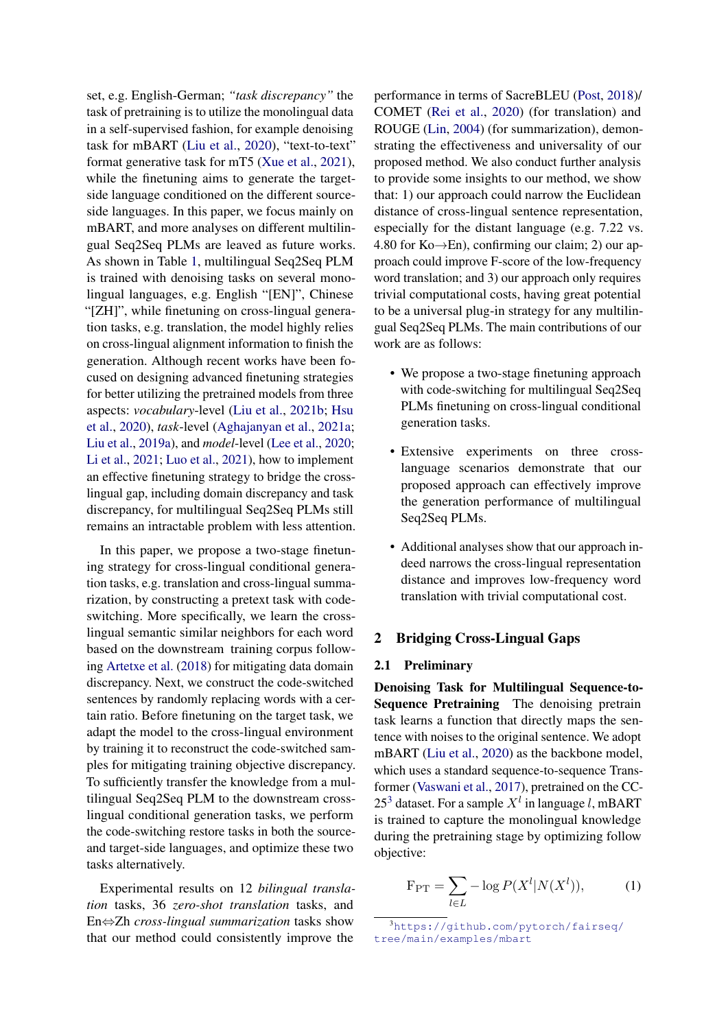set, e.g. English-German; *"task discrepancy"* the task of pretraining is to utilize the monolingual data in a self-supervised fashion, for example denoising task for mBART [\(Liu et al.,](#page-9-0) [2020\)](#page-9-0), "text-to-text" format generative task for mT5 [\(Xue et al.,](#page-9-2) [2021\)](#page-9-2), while the finetuning aims to generate the targetside language conditioned on the different sourceside languages. In this paper, we focus mainly on mBART, and more analyses on different multilingual Seq2Seq PLMs are leaved as future works. As shown in Table [1,](#page-0-2) multilingual Seq2Seq PLM is trained with denoising tasks on several monolingual languages, e.g. English "[EN]", Chinese "[ZH]", while finetuning on cross-lingual generation tasks, e.g. translation, the model highly relies on cross-lingual alignment information to finish the generation. Although recent works have been focused on designing advanced finetuning strategies for better utilizing the pretrained models from three aspects: *vocabulary*-level [\(Liu et al.,](#page-9-7) [2021b;](#page-9-7) [Hsu](#page-8-3) [et al.,](#page-8-3) [2020\)](#page-8-3), *task*-level [\(Aghajanyan et al.,](#page-8-4) [2021a;](#page-8-4) [Liu et al.,](#page-9-8) [2019a\)](#page-9-8), and *model*-level [\(Lee et al.,](#page-8-5) [2020;](#page-8-5) [Li et al.,](#page-8-6) [2021;](#page-8-6) [Luo et al.,](#page-9-9) [2021\)](#page-9-9), how to implement an effective finetuning strategy to bridge the crosslingual gap, including domain discrepancy and task discrepancy, for multilingual Seq2Seq PLMs still remains an intractable problem with less attention.

In this paper, we propose a two-stage finetuning strategy for cross-lingual conditional generation tasks, e.g. translation and cross-lingual summarization, by constructing a pretext task with codeswitching. More specifically, we learn the crosslingual semantic similar neighbors for each word based on the downstream training corpus following [Artetxe et al.](#page-8-7) [\(2018\)](#page-8-7) for mitigating data domain discrepancy. Next, we construct the code-switched sentences by randomly replacing words with a certain ratio. Before finetuning on the target task, we adapt the model to the cross-lingual environment by training it to reconstruct the code-switched samples for mitigating training objective discrepancy. To sufficiently transfer the knowledge from a multilingual Seq2Seq PLM to the downstream crosslingual conditional generation tasks, we perform the code-switching restore tasks in both the sourceand target-side languages, and optimize these two tasks alternatively.

Experimental results on 12 *bilingual translation* tasks, 36 *zero-shot translation* tasks, and En⇔Zh *cross-lingual summarization* tasks show that our method could consistently improve the

performance in terms of SacreBLEU [\(Post,](#page-9-10) [2018\)](#page-9-10)/ COMET [\(Rei et al.,](#page-9-11) [2020\)](#page-9-11) (for translation) and ROUGE [\(Lin,](#page-9-12) [2004\)](#page-9-12) (for summarization), demonstrating the effectiveness and universality of our proposed method. We also conduct further analysis to provide some insights to our method, we show that: 1) our approach could narrow the Euclidean distance of cross-lingual sentence representation, especially for the distant language (e.g. 7.22 vs. 4.80 for Ko $\rightarrow$ En), confirming our claim; 2) our approach could improve F-score of the low-frequency word translation; and 3) our approach only requires trivial computational costs, having great potential to be a universal plug-in strategy for any multilingual Seq2Seq PLMs. The main contributions of our work are as follows:

- We propose a two-stage finetuning approach with code-switching for multilingual Seq2Seq PLMs finetuning on cross-lingual conditional generation tasks.
- Extensive experiments on three crosslanguage scenarios demonstrate that our proposed approach can effectively improve the generation performance of multilingual Seq2Seq PLMs.
- Additional analyses show that our approach indeed narrows the cross-lingual representation distance and improves low-frequency word translation with trivial computational cost.

# 2 Bridging Cross-Lingual Gaps

### 2.1 Preliminary

Denoising Task for Multilingual Sequence-to-Sequence Pretraining The denoising pretrain task learns a function that directly maps the sentence with noises to the original sentence. We adopt mBART [\(Liu et al.,](#page-9-0) [2020\)](#page-9-0) as the backbone model, which uses a standard sequence-to-sequence Transformer [\(Vaswani et al.,](#page-9-13) [2017\)](#page-9-13), pretrained on the CC-25<sup>[3](#page-1-0)</sup> dataset. For a sample  $X<sup>l</sup>$  in language l, mBART is trained to capture the monolingual knowledge during the pretraining stage by optimizing follow objective:

$$
\mathbf{F}_{\text{PT}} = \sum_{l \in L} -\log P(X^l|N(X^l)),\tag{1}
$$

<span id="page-1-0"></span><sup>3</sup>[https://github.com/pytorch/fairseq/](https://github.com/pytorch/fairseq/tree/main/examples/mbart) [tree/main/examples/mbart](https://github.com/pytorch/fairseq/tree/main/examples/mbart)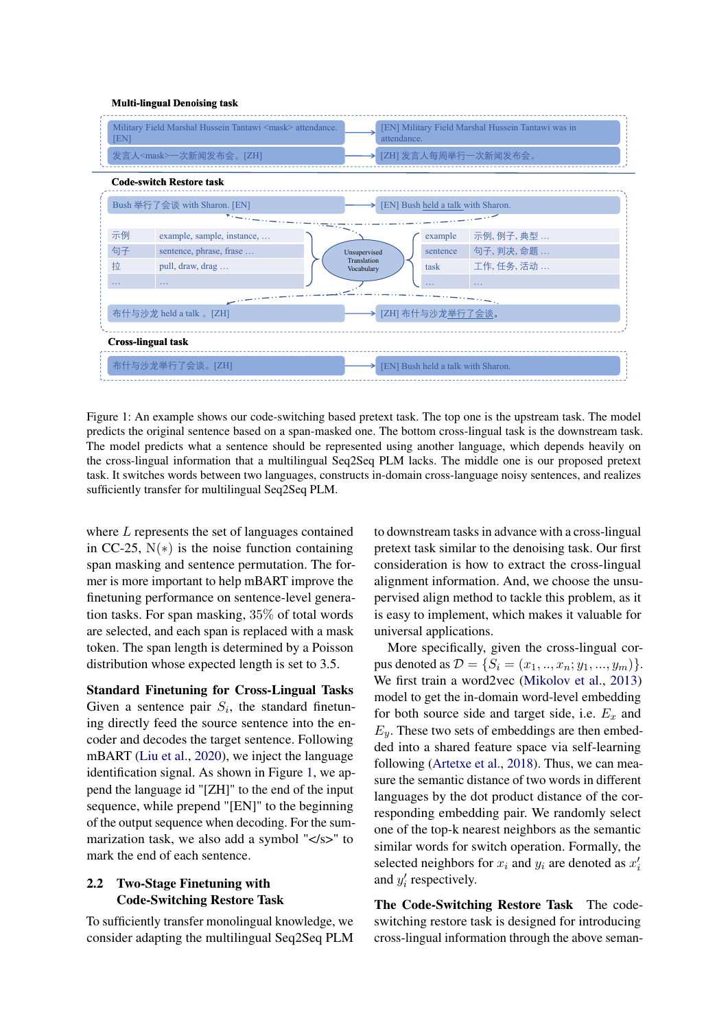#### <span id="page-2-0"></span>**Multi-lingual Denoising task**



Figure 1: An example shows our code-switching based pretext task. The top one is the upstream task. The model predicts the original sentence based on a span-masked one. The bottom cross-lingual task is the downstream task. The model predicts what a sentence should be represented using another language, which depends heavily on the cross-lingual information that a multilingual Seq2Seq PLM lacks. The middle one is our proposed pretext task. It switches words between two languages, constructs in-domain cross-language noisy sentences, and realizes sufficiently transfer for multilingual Seq2Seq PLM.

where L represents the set of languages contained in CC-25,  $N(*)$  is the noise function containing span masking and sentence permutation. The former is more important to help mBART improve the finetuning performance on sentence-level generation tasks. For span masking, 35% of total words are selected, and each span is replaced with a mask token. The span length is determined by a Poisson distribution whose expected length is set to 3.5.

Standard Finetuning for Cross-Lingual Tasks Given a sentence pair  $S_i$ , the standard finetuning directly feed the source sentence into the encoder and decodes the target sentence. Following mBART [\(Liu et al.,](#page-9-0) [2020\)](#page-9-0), we inject the language identification signal. As shown in Figure [1,](#page-2-0) we append the language id "[ZH]" to the end of the input sequence, while prepend "[EN]" to the beginning of the output sequence when decoding. For the summarization task, we also add a symbol "</s>" to mark the end of each sentence.

### 2.2 Two-Stage Finetuning with Code-Switching Restore Task

To sufficiently transfer monolingual knowledge, we consider adapting the multilingual Seq2Seq PLM to downstream tasks in advance with a cross-lingual pretext task similar to the denoising task. Our first consideration is how to extract the cross-lingual alignment information. And, we choose the unsupervised align method to tackle this problem, as it is easy to implement, which makes it valuable for universal applications.

More specifically, given the cross-lingual corpus denoted as  $\mathcal{D} = \{S_i = (x_1, ..., x_n; y_1, ..., y_m)\}.$ We first train a word2vec [\(Mikolov et al.,](#page-9-14) [2013\)](#page-9-14) model to get the in-domain word-level embedding for both source side and target side, i.e.  $E_x$  and  $E_y$ . These two sets of embeddings are then embedded into a shared feature space via self-learning following [\(Artetxe et al.,](#page-8-7) [2018\)](#page-8-7). Thus, we can measure the semantic distance of two words in different languages by the dot product distance of the corresponding embedding pair. We randomly select one of the top-k nearest neighbors as the semantic similar words for switch operation. Formally, the selected neighbors for  $x_i$  and  $y_i$  are denoted as  $x_i'$ and  $y'_i$  respectively.

The Code-Switching Restore Task The codeswitching restore task is designed for introducing cross-lingual information through the above seman-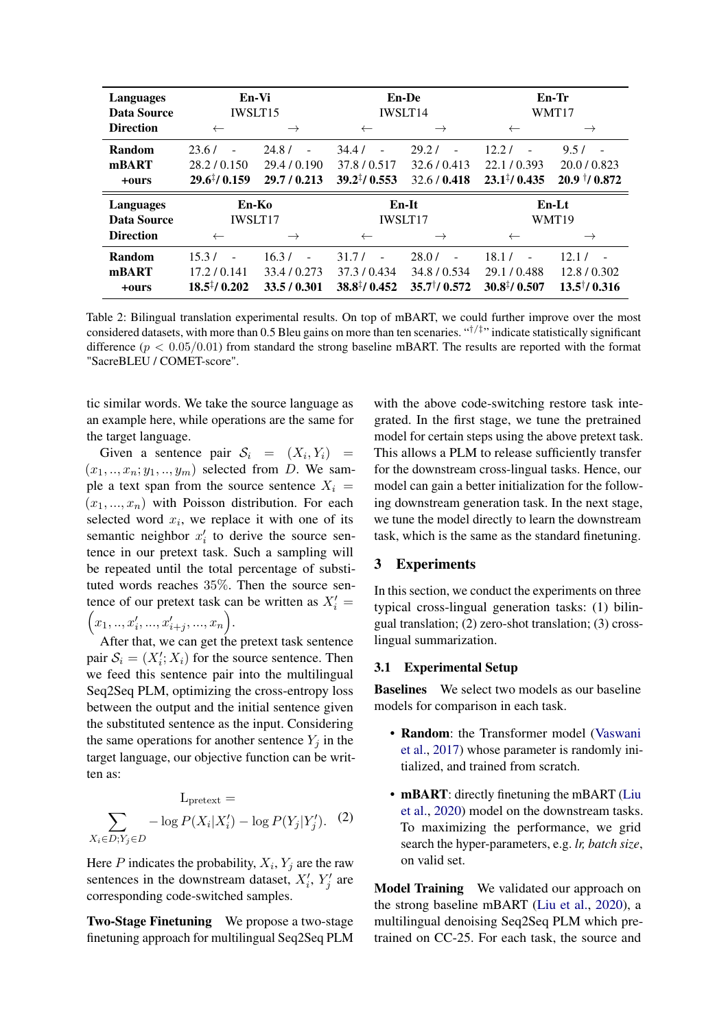<span id="page-3-0"></span>

| Languages<br>Data Source | En-Vi<br><b>IWSLT15</b> |                                   | <b>En-De</b><br><b>IWSLT14</b> |                   | En-Tr<br>WMT17          |                          |
|--------------------------|-------------------------|-----------------------------------|--------------------------------|-------------------|-------------------------|--------------------------|
| <b>Direction</b>         | $\leftarrow$            | $\rightarrow$                     | $\leftarrow$                   | $\rightarrow$     | $\leftarrow$            |                          |
| Random                   | 23.6/                   | 24.8/<br>$\overline{\phantom{a}}$ | 34.4/                          | 29.2 <sub>l</sub> | 12.21                   | 9.5/                     |
| mBART                    | 28.2 / 0.150            | 29.4 / 0.190                      | 37.8/0.517                     | 32.6 / 0.413      | 22.1/0.393              | 20.0 / 0.823             |
| +ours                    | $29.6^{\ddagger}/0.159$ | 29.7/0.213                        | $39.2^{\ddagger}/0.553$        | 32.6 / 0.418      | $23.1^{\ddagger}/0.435$ | $20.9$ $\frac{1}{0.872}$ |
|                          | En-Ko                   |                                   |                                |                   |                         |                          |
| Languages                |                         |                                   |                                | En-It             |                         | En-Lt                    |
| Data Source              | <b>IWSLT17</b>          |                                   |                                | <b>IWSLT17</b>    |                         | WMT19                    |
| <b>Direction</b>         | $\leftarrow$            | $\rightarrow$                     |                                | $\rightarrow$     | $\leftarrow$            |                          |
| Random                   | 15.3/                   | 16.3/<br>$\overline{a}$           | 31.7/                          | 28.0/             | 18.1/                   | 12.17                    |
| mBART                    | 17.2 / 0.141            | 33.4/0.273                        | 37.3/0.434                     | 34.8/0.534        | 29.1/0.488              | 12.8/0.302               |

Table 2: Bilingual translation experimental results. On top of mBART, we could further improve over the most considered datasets, with more than 0.5 Bleu gains on more than ten scenaries. "†/‡ " indicate statistically significant difference ( $p < 0.05/0.01$ ) from standard the strong baseline mBART. The results are reported with the format "SacreBLEU / COMET-score".

tic similar words. We take the source language as an example here, while operations are the same for the target language.

Given a sentence pair  $S_i = (X_i, Y_i) =$  $(x_1, \ldots, x_n; y_1, \ldots, y_m)$  selected from D. We sample a text span from the source sentence  $X_i$  =  $(x_1, ..., x_n)$  with Poisson distribution. For each selected word  $x_i$ , we replace it with one of its semantic neighbor  $x_i'$  to derive the source sentence in our pretext task. Such a sampling will be repeated until the total percentage of substituted words reaches 35%. Then the source sentence of our pretext task can be written as  $X'_i =$  $x_1, ..., x'_i, ..., x'_{i+j}, ..., x_n$ .

After that, we can get the pretext task sentence pair  $S_i = (X'_i; X_i)$  for the source sentence. Then we feed this sentence pair into the multilingual Seq2Seq PLM, optimizing the cross-entropy loss between the output and the initial sentence given the substituted sentence as the input. Considering the same operations for another sentence  $Y_i$  in the target language, our objective function can be written as:

$$
L_{\text{pretext}} =
$$
  

$$
\sum_{X_i \in D; Y_j \in D} -\log P(X_i | X'_i) - \log P(Y_j | Y'_j). \quad (2)
$$

Here P indicates the probability,  $X_i$ ,  $Y_j$  are the raw sentences in the downstream dataset,  $X_i^{\prime}, Y_j^{\prime}$  are corresponding code-switched samples.

Two-Stage Finetuning We propose a two-stage finetuning approach for multilingual Seq2Seq PLM

with the above code-switching restore task integrated. In the first stage, we tune the pretrained model for certain steps using the above pretext task. This allows a PLM to release sufficiently transfer for the downstream cross-lingual tasks. Hence, our model can gain a better initialization for the following downstream generation task. In the next stage, we tune the model directly to learn the downstream task, which is the same as the standard finetuning.

# 3 Experiments

In this section, we conduct the experiments on three typical cross-lingual generation tasks: (1) bilingual translation; (2) zero-shot translation; (3) crosslingual summarization.

### 3.1 Experimental Setup

Baselines We select two models as our baseline models for comparison in each task.

- Random: the Transformer model [\(Vaswani](#page-9-13) [et al.,](#page-9-13) [2017\)](#page-9-13) whose parameter is randomly initialized, and trained from scratch.
- **mBART**: directly finetuning the mBART [\(Liu](#page-9-0) [et al.,](#page-9-0) [2020\)](#page-9-0) model on the downstream tasks. To maximizing the performance, we grid search the hyper-parameters, e.g. *lr, batch size*, on valid set.

Model Training We validated our approach on the strong baseline mBART [\(Liu et al.,](#page-9-0) [2020\)](#page-9-0), a multilingual denoising Seq2Seq PLM which pretrained on CC-25. For each task, the source and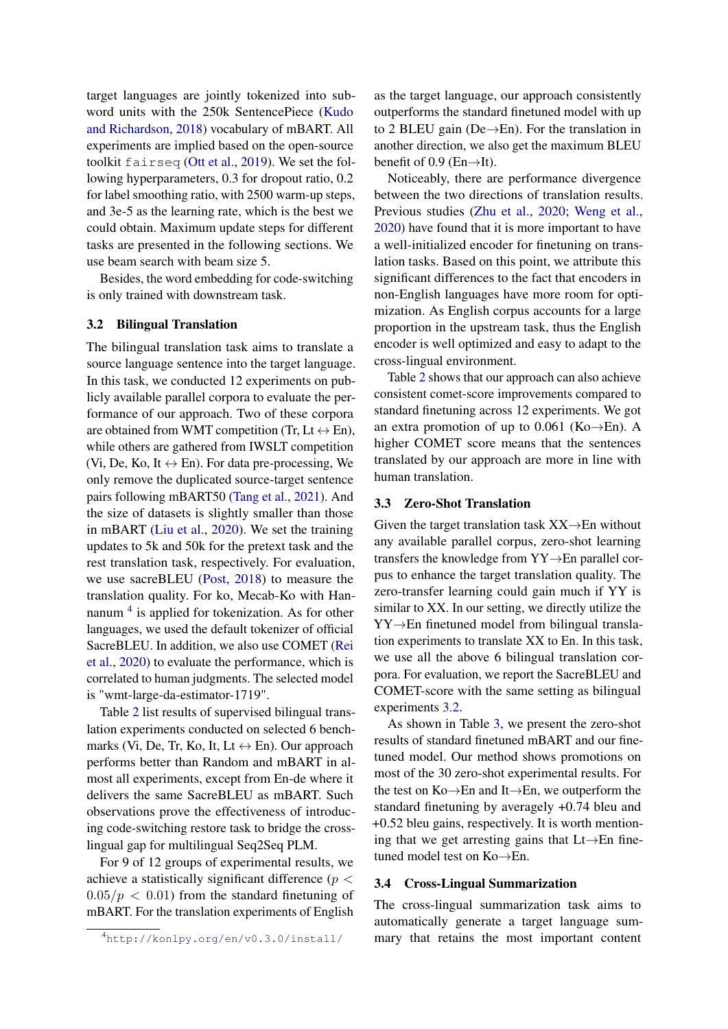target languages are jointly tokenized into subword units with the 250k SentencePiece [\(Kudo](#page-8-8) [and Richardson,](#page-8-8) [2018\)](#page-8-8) vocabulary of mBART. All experiments are implied based on the open-source toolkit fairseq [\(Ott et al.,](#page-9-15) [2019\)](#page-9-15). We set the following hyperparameters, 0.3 for dropout ratio, 0.2 for label smoothing ratio, with 2500 warm-up steps, and 3e-5 as the learning rate, which is the best we could obtain. Maximum update steps for different tasks are presented in the following sections. We use beam search with beam size 5.

Besides, the word embedding for code-switching is only trained with downstream task.

### <span id="page-4-1"></span>3.2 Bilingual Translation

The bilingual translation task aims to translate a source language sentence into the target language. In this task, we conducted 12 experiments on publicly available parallel corpora to evaluate the performance of our approach. Two of these corpora are obtained from WMT competition (Tr, Lt  $\leftrightarrow$  En), while others are gathered from IWSLT competition (Vi, De, Ko, It  $\leftrightarrow$  En). For data pre-processing, We only remove the duplicated source-target sentence pairs following mBART50 [\(Tang et al.,](#page-9-16) [2021\)](#page-9-16). And the size of datasets is slightly smaller than those in mBART [\(Liu et al.,](#page-9-0) [2020\)](#page-9-0). We set the training updates to 5k and 50k for the pretext task and the rest translation task, respectively. For evaluation, we use sacreBLEU [\(Post,](#page-9-10) [2018\)](#page-9-10) to measure the translation quality. For ko, Mecab-Ko with Han-nanum<sup>[4](#page-4-0)</sup> is applied for tokenization. As for other languages, we used the default tokenizer of official SacreBLEU. In addition, we also use COMET [\(Rei](#page-9-11) [et al.,](#page-9-11) [2020\)](#page-9-11) to evaluate the performance, which is correlated to human judgments. The selected model is "wmt-large-da-estimator-1719".

Table [2](#page-3-0) list results of supervised bilingual translation experiments conducted on selected 6 benchmarks (Vi, De, Tr, Ko, It, Lt  $\leftrightarrow$  En). Our approach performs better than Random and mBART in almost all experiments, except from En-de where it delivers the same SacreBLEU as mBART. Such observations prove the effectiveness of introducing code-switching restore task to bridge the crosslingual gap for multilingual Seq2Seq PLM.

For 9 of 12 groups of experimental results, we achieve a statistically significant difference ( $p <$  $0.05/p < 0.01$ ) from the standard finetuning of mBART. For the translation experiments of English as the target language, our approach consistently outperforms the standard finetuned model with up to 2 BLEU gain (De→En). For the translation in another direction, we also get the maximum BLEU benefit of 0.9 (En $\rightarrow$ It).

Noticeably, there are performance divergence between the two directions of translation results. Previous studies [\(Zhu et al.,](#page-9-17) [2020;](#page-9-17) [Weng et al.,](#page-9-18) [2020\)](#page-9-18) have found that it is more important to have a well-initialized encoder for finetuning on translation tasks. Based on this point, we attribute this significant differences to the fact that encoders in non-English languages have more room for optimization. As English corpus accounts for a large proportion in the upstream task, thus the English encoder is well optimized and easy to adapt to the cross-lingual environment.

Table [2](#page-3-0) shows that our approach can also achieve consistent comet-score improvements compared to standard finetuning across 12 experiments. We got an extra promotion of up to 0.061 (Ko $\rightarrow$ En). A higher COMET score means that the sentences translated by our approach are more in line with human translation.

### 3.3 Zero-Shot Translation

Given the target translation task  $XX\rightarrow En$  without any available parallel corpus, zero-shot learning transfers the knowledge from YY→En parallel corpus to enhance the target translation quality. The zero-transfer learning could gain much if YY is similar to XX. In our setting, we directly utilize the YY→En finetuned model from bilingual translation experiments to translate XX to En. In this task, we use all the above 6 bilingual translation corpora. For evaluation, we report the SacreBLEU and COMET-score with the same setting as bilingual experiments [3.2.](#page-4-1)

As shown in Table [3,](#page-5-0) we present the zero-shot results of standard finetuned mBART and our finetuned model. Our method shows promotions on most of the 30 zero-shot experimental results. For the test on Ko→En and It→En, we outperform the standard finetuning by averagely +0.74 bleu and +0.52 bleu gains, respectively. It is worth mentioning that we get arresting gains that Lt→En finetuned model test on Ko→En.

#### 3.4 Cross-Lingual Summarization

The cross-lingual summarization task aims to automatically generate a target language summary that retains the most important content

<span id="page-4-0"></span><sup>4</sup><http://konlpy.org/en/v0.3.0/install/>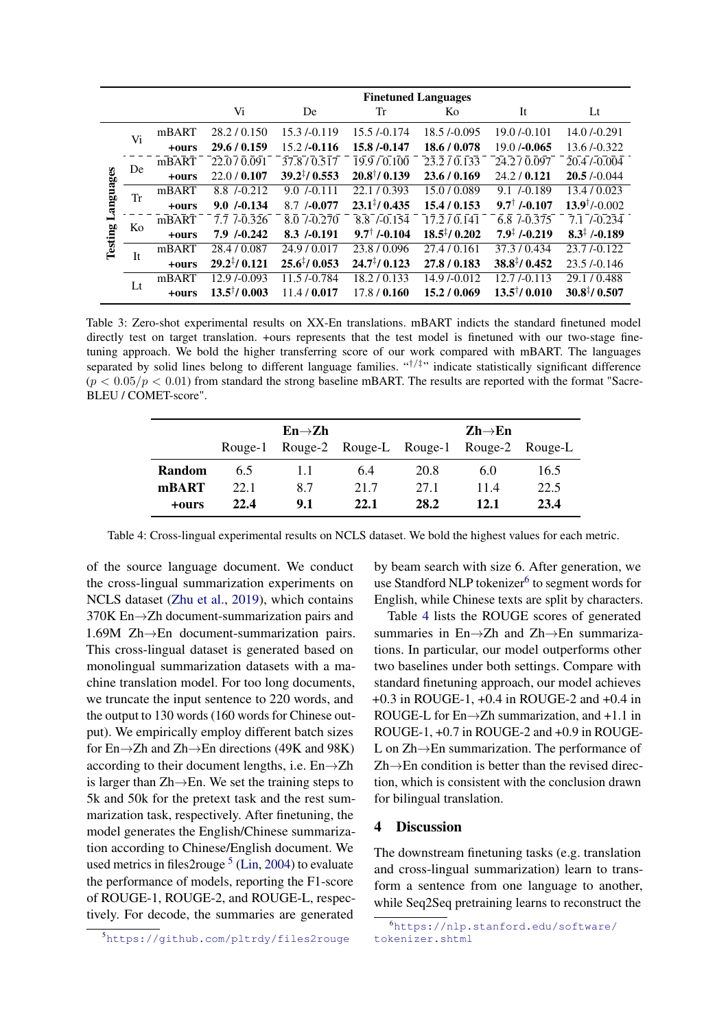<span id="page-5-0"></span>

|                      |             |       | <b>Finetuned Languages</b> |                           |                         |                         |                          |                           |
|----------------------|-------------|-------|----------------------------|---------------------------|-------------------------|-------------------------|--------------------------|---------------------------|
|                      |             |       | Vi                         | De                        | Tr                      | Ko                      | It                       | $_{\rm Lt}$               |
|                      | Vi          | mBART | 28.2 / 0.150               | $15.3 / -0.119$           | 15.5 / 0.174            | 18.5 / 0.095            | $19.0 / -0.101$          | $14.0 / -0.291$           |
|                      |             | +ours | 29.6 / 0.159               | $15.2 / -0.116$           | 15.8/-0.147             | 18.6 / 0.078            | $19.0 / -0.065$          | 13.6/-0.322               |
|                      | De          | mBART | 22.0/0.091                 | 37.8/0.517                | 19.9/0.100              | 23.2/0.133              | 24.2/0.097               | 20.4 / 0.004              |
|                      |             | +ours | 22.0 / 0.107               | $39.2\frac{1}{1}$ (0.553) | $20.8^{\dagger}/0.139$  | 23.6/0.169              | 24.2 / 0.121             | 20.5/0.044                |
| Languages<br>Testing | Tr          | mBART | 8.8 / -0.212               | $9.0 \div 0.111$          | 22.1/0.393              | 15.0/0.089              | $9.1 \div 0.189$         | 13.4/0.023                |
|                      |             | +ours | $9.0 \div 0.134$           | $8.7 / -0.077$            | $23.1^{\ddagger}/0.435$ | 15.4/0.153              | $9.7^{\dagger}$ /-0.107  | $13.9^{\dagger}/-0.002$   |
|                      | Ko          | mBART | $7.7 \t1-0.326$            | $8.0 \t - 0.270$          | 8.8 / -0.154            | 17.2 / 0.141            | $6.8$ $-0.375$           | $7.1 \div 0.234$          |
|                      |             | +ours | $7.9 \div 0.242$           | $8.3 / -0.191$            | $9.7^{\dagger}$ /-0.104 | $18.5^{\ddagger}/0.202$ | $7.9^{\ddagger}$ /-0.219 | $8.3^{\ddagger}$ /-0.189  |
|                      | Tt.         | mBART | 28.4 / 0.087               | 24.9 / 0.017              | 23.8/0.096              | 27.4/0.161              | 37.3/0.434               | $23.7 - 0.122$            |
|                      |             | +ours | $29.2\frac{1}{2}$ / 0.121  | $25.6^{\ddagger}/0.053$   | $24.7^{\ddagger}/0.123$ | 27.8/0.183              | $38.8^{\ddagger}/0.452$  | 23.5 / 0.146              |
|                      | $_{\rm Lt}$ | mBART | $12.9 / -0.093$            | 11.5/-0.784               | 18.2 / 0.133            | 14.9/-0.012             | 12.7L0.113               | 29.1/0.488                |
|                      |             | +ours | $13.5^{\dagger}/0.003$     | 11.4/0.017                | 17.8/0.160              | 15.2/0.069              | $13.5^{\dagger}/0.010$   | $30.8\frac{1}{7}$ / 0.507 |

Table 3: Zero-shot experimental results on XX-En translations. mBART indicts the standard finetuned model directly test on target translation. +ours represents that the test model is finetuned with our two-stage finetuning approach. We bold the higher transferring score of our work compared with mBART. The languages separated by solid lines belong to different language families. "<sup>†/‡</sup>" indicate statistically significant difference  $(p < 0.05/p < 0.01)$  from standard the strong baseline mBART. The results are reported with the format "Sacre-BLEU / COMET-score".

<span id="page-5-3"></span>

|               |         | $En \rightarrow Zh$ |                         | $\mathbf{Zh}\rightarrow\mathbf{En}$ |                 |      |  |
|---------------|---------|---------------------|-------------------------|-------------------------------------|-----------------|------|--|
|               | Rouge-1 |                     | Rouge-2 Rouge-L Rouge-1 |                                     | Rouge-2 Rouge-L |      |  |
| <b>Random</b> | 65      | 11                  | 6.4                     | 20.8                                | 6.0             | 16.5 |  |
| mBART         | 22.1    | 8.7                 | 21.7                    | 27.1                                | 114             | 22.5 |  |
| +ours         | 22.4    | 9.1                 | 22.1                    | 28.2                                | 12.1            | 23.4 |  |

Table 4: Cross-lingual experimental results on NCLS dataset. We bold the highest values for each metric.

of the source language document. We conduct the cross-lingual summarization experiments on NCLS dataset [\(Zhu et al.,](#page-9-19) [2019\)](#page-9-19), which contains 370K En→Zh document-summarization pairs and 1.69M Zh→En document-summarization pairs. This cross-lingual dataset is generated based on monolingual summarization datasets with a machine translation model. For too long documents, we truncate the input sentence to 220 words, and the output to 130 words (160 words for Chinese output). We empirically employ different batch sizes for En→Zh and Zh→En directions (49K and 98K) according to their document lengths, i.e. En→Zh is larger than  $Zh \rightarrow En$ . We set the training steps to 5k and 50k for the pretext task and the rest summarization task, respectively. After finetuning, the model generates the English/Chinese summarization according to Chinese/English document. We used metrics in files2rouge  $5$  [\(Lin,](#page-9-12) [2004\)](#page-9-12) to evaluate the performance of models, reporting the F1-score of ROUGE-1, ROUGE-2, and ROUGE-L, respectively. For decode, the summaries are generated

by beam search with size 6. After generation, we use Standford NLP tokenizer<sup>[6](#page-5-2)</sup> to segment words for English, while Chinese texts are split by characters.

Table [4](#page-5-3) lists the ROUGE scores of generated summaries in En→Zh and Zh→En summarizations. In particular, our model outperforms other two baselines under both settings. Compare with standard finetuning approach, our model achieves +0.3 in ROUGE-1, +0.4 in ROUGE-2 and +0.4 in ROUGE-L for  $En \rightarrow Zh$  summarization, and +1.1 in ROUGE-1, +0.7 in ROUGE-2 and +0.9 in ROUGE-L on Zh→En summarization. The performance of  $Zh \rightarrow En$  condition is better than the revised direction, which is consistent with the conclusion drawn for bilingual translation.

## 4 Discussion

The downstream finetuning tasks (e.g. translation and cross-lingual summarization) learn to transform a sentence from one language to another, while Seq2Seq pretraining learns to reconstruct the

<span id="page-5-1"></span><sup>5</sup><https://github.com/pltrdy/files2rouge>

<span id="page-5-2"></span><sup>6</sup>[https://nlp.stanford.edu/software/](https://nlp.stanford.edu/software/tokenizer.shtml) [tokenizer.shtml](https://nlp.stanford.edu/software/tokenizer.shtml)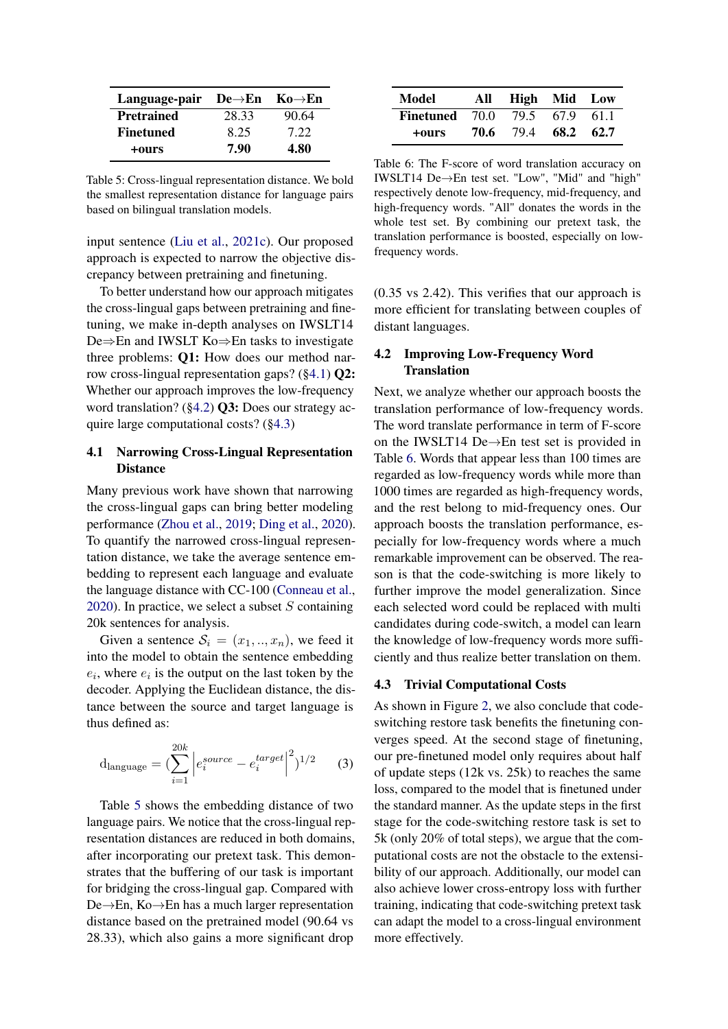<span id="page-6-3"></span>

| Language-pair De $\rightarrow$ En Ko $\rightarrow$ En |       |       |
|-------------------------------------------------------|-------|-------|
| <b>Pretrained</b>                                     | 28.33 | 90.64 |
| <b>Finetuned</b>                                      | 8.25  | 7.22  |
| +ours                                                 | 7.90  | 4.80  |

Table 5: Cross-lingual representation distance. We bold the smallest representation distance for language pairs based on bilingual translation models.

input sentence [\(Liu et al.,](#page-9-20) [2021c\)](#page-9-20). Our proposed approach is expected to narrow the objective discrepancy between pretraining and finetuning.

To better understand how our approach mitigates the cross-lingual gaps between pretraining and finetuning, we make in-depth analyses on IWSLT14 De⇒En and IWSLT Ko⇒En tasks to investigate three problems: Q1: How does our method narrow cross-lingual representation gaps? ([§4.1\)](#page-6-0) Q2: Whether our approach improves the low-frequency word translation? ([§4.2\)](#page-6-1) Q3: Does our strategy acquire large computational costs? ([§4.3\)](#page-6-2)

# <span id="page-6-0"></span>4.1 Narrowing Cross-Lingual Representation **Distance**

Many previous work have shown that narrowing the cross-lingual gaps can bring better modeling performance [\(Zhou et al.,](#page-9-21) [2019;](#page-9-21) [Ding et al.,](#page-8-9) [2020\)](#page-8-9). To quantify the narrowed cross-lingual representation distance, we take the average sentence embedding to represent each language and evaluate the language distance with CC-100 [\(Conneau et al.,](#page-8-10) [2020\)](#page-8-10). In practice, we select a subset  $S$  containing 20k sentences for analysis.

Given a sentence  $S_i = (x_1, ..., x_n)$ , we feed it into the model to obtain the sentence embedding  $e_i$ , where  $e_i$  is the output on the last token by the decoder. Applying the Euclidean distance, the distance between the source and target language is thus defined as:

$$
d_{\text{language}} = \left(\sum_{i=1}^{20k} \left| e_i^{source} - e_i^{target} \right|^2 \right)^{1/2} \tag{3}
$$

Table [5](#page-6-3) shows the embedding distance of two language pairs. We notice that the cross-lingual representation distances are reduced in both domains, after incorporating our pretext task. This demonstrates that the buffering of our task is important for bridging the cross-lingual gap. Compared with De→En, Ko→En has a much larger representation distance based on the pretrained model (90.64 vs 28.33), which also gains a more significant drop

<span id="page-6-4"></span>

| Model                                | All High Mid Low    |  |
|--------------------------------------|---------------------|--|
| <b>Finetuned</b> 70.0 79.5 67.9 61.1 |                     |  |
| +ours                                | 70.6 79.4 68.2 62.7 |  |

Table 6: The F-score of word translation accuracy on IWSLT14 De→En test set. "Low", "Mid" and "high" respectively denote low-frequency, mid-frequency, and high-frequency words. "All" donates the words in the whole test set. By combining our pretext task, the translation performance is boosted, especially on lowfrequency words.

(0.35 vs 2.42). This verifies that our approach is more efficient for translating between couples of distant languages.

# <span id="page-6-1"></span>4.2 Improving Low-Frequency Word **Translation**

Next, we analyze whether our approach boosts the translation performance of low-frequency words. The word translate performance in term of F-score on the IWSLT14 De→En test set is provided in Table [6.](#page-6-4) Words that appear less than 100 times are regarded as low-frequency words while more than 1000 times are regarded as high-frequency words, and the rest belong to mid-frequency ones. Our approach boosts the translation performance, especially for low-frequency words where a much remarkable improvement can be observed. The reason is that the code-switching is more likely to further improve the model generalization. Since each selected word could be replaced with multi candidates during code-switch, a model can learn the knowledge of low-frequency words more sufficiently and thus realize better translation on them.

#### <span id="page-6-2"></span>4.3 Trivial Computational Costs

As shown in Figure [2,](#page-7-0) we also conclude that codeswitching restore task benefits the finetuning converges speed. At the second stage of finetuning, our pre-finetuned model only requires about half of update steps (12k vs. 25k) to reaches the same loss, compared to the model that is finetuned under the standard manner. As the update steps in the first stage for the code-switching restore task is set to 5k (only 20% of total steps), we argue that the computational costs are not the obstacle to the extensibility of our approach. Additionally, our model can also achieve lower cross-entropy loss with further training, indicating that code-switching pretext task can adapt the model to a cross-lingual environment more effectively.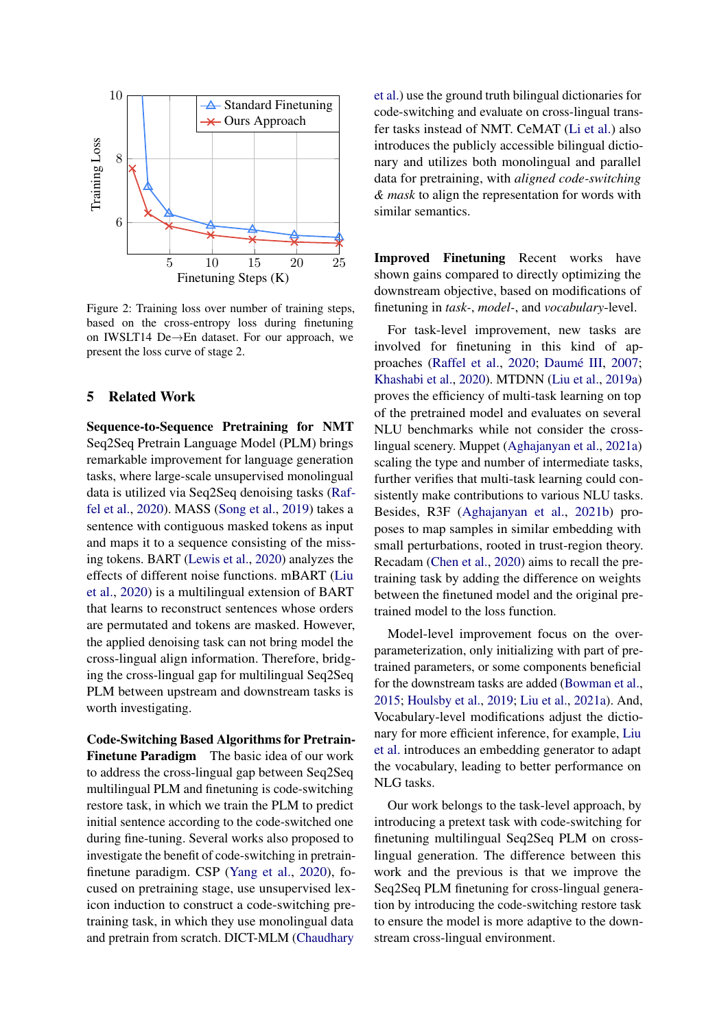<span id="page-7-0"></span>

Figure 2: Training loss over number of training steps, based on the cross-entropy loss during finetuning on IWSLT14 De→En dataset. For our approach, we present the loss curve of stage 2.

# 5 Related Work

Sequence-to-Sequence Pretraining for NMT Seq2Seq Pretrain Language Model (PLM) brings remarkable improvement for language generation tasks, where large-scale unsupervised monolingual data is utilized via Seq2Seq denoising tasks [\(Raf](#page-9-22)[fel et al.,](#page-9-22) [2020\)](#page-9-22). MASS [\(Song et al.,](#page-9-1) [2019\)](#page-9-1) takes a sentence with contiguous masked tokens as input and maps it to a sequence consisting of the missing tokens. BART [\(Lewis et al.,](#page-8-1) [2020\)](#page-8-1) analyzes the effects of different noise functions. mBART [\(Liu](#page-9-0) [et al.,](#page-9-0) [2020\)](#page-9-0) is a multilingual extension of BART that learns to reconstruct sentences whose orders are permutated and tokens are masked. However, the applied denoising task can not bring model the cross-lingual align information. Therefore, bridging the cross-lingual gap for multilingual Seq2Seq PLM between upstream and downstream tasks is worth investigating.

Code-Switching Based Algorithms for Pretrain-Finetune Paradigm The basic idea of our work to address the cross-lingual gap between Seq2Seq multilingual PLM and finetuning is code-switching restore task, in which we train the PLM to predict initial sentence according to the code-switched one during fine-tuning. Several works also proposed to investigate the benefit of code-switching in pretrainfinetune paradigm. CSP [\(Yang et al.,](#page-9-23) [2020\)](#page-9-23), focused on pretraining stage, use unsupervised lexicon induction to construct a code-switching pretraining task, in which they use monolingual data and pretrain from scratch. DICT-MLM [\(Chaudhary](#page-8-11)

[et al.\)](#page-8-11) use the ground truth bilingual dictionaries for code-switching and evaluate on cross-lingual transfer tasks instead of NMT. CeMAT [\(Li et al.\)](#page-8-12) also introduces the publicly accessible bilingual dictionary and utilizes both monolingual and parallel data for pretraining, with *aligned code-switching & mask* to align the representation for words with similar semantics.

Improved Finetuning Recent works have shown gains compared to directly optimizing the downstream objective, based on modifications of finetuning in *task-*, *model-*, and *vocabulary*-level.

For task-level improvement, new tasks are involved for finetuning in this kind of approaches [\(Raffel et al.,](#page-9-22) [2020;](#page-9-22) [Daumé III,](#page-8-13) [2007;](#page-8-13) [Khashabi et al.,](#page-8-14) [2020\)](#page-8-14). MTDNN [\(Liu et al.,](#page-9-8) [2019a\)](#page-9-8) proves the efficiency of multi-task learning on top of the pretrained model and evaluates on several NLU benchmarks while not consider the crosslingual scenery. Muppet [\(Aghajanyan et al.,](#page-8-4) [2021a\)](#page-8-4) scaling the type and number of intermediate tasks, further verifies that multi-task learning could consistently make contributions to various NLU tasks. Besides, R3F [\(Aghajanyan et al.,](#page-8-15) [2021b\)](#page-8-15) proposes to map samples in similar embedding with small perturbations, rooted in trust-region theory. Recadam [\(Chen et al.,](#page-8-16) [2020\)](#page-8-16) aims to recall the pretraining task by adding the difference on weights between the finetuned model and the original pretrained model to the loss function.

Model-level improvement focus on the overparameterization, only initializing with part of pretrained parameters, or some components beneficial for the downstream tasks are added [\(Bowman et al.,](#page-8-17) [2015;](#page-8-17) [Houlsby et al.,](#page-8-18) [2019;](#page-8-18) [Liu et al.,](#page-9-24) [2021a\)](#page-9-24). And, Vocabulary-level modifications adjust the dictionary for more efficient inference, for example, [Liu](#page-9-7) [et al.](#page-9-7) introduces an embedding generator to adapt the vocabulary, leading to better performance on NLG tasks.

Our work belongs to the task-level approach, by introducing a pretext task with code-switching for finetuning multilingual Seq2Seq PLM on crosslingual generation. The difference between this work and the previous is that we improve the Seq2Seq PLM finetuning for cross-lingual generation by introducing the code-switching restore task to ensure the model is more adaptive to the downstream cross-lingual environment.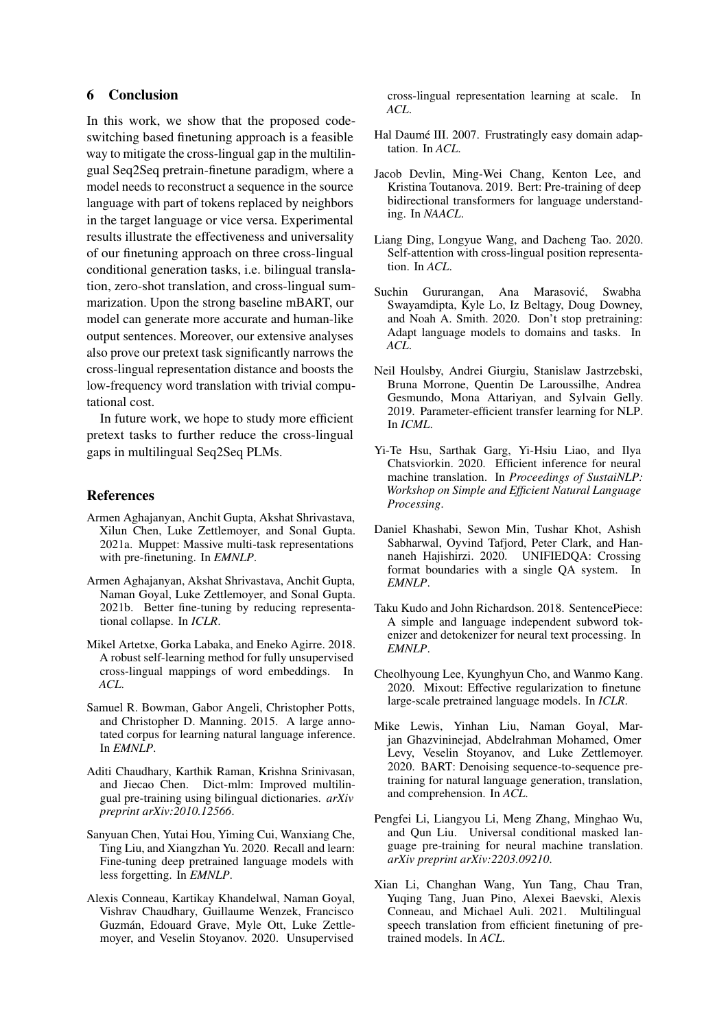# 6 Conclusion

In this work, we show that the proposed codeswitching based finetuning approach is a feasible way to mitigate the cross-lingual gap in the multilingual Seq2Seq pretrain-finetune paradigm, where a model needs to reconstruct a sequence in the source language with part of tokens replaced by neighbors in the target language or vice versa. Experimental results illustrate the effectiveness and universality of our finetuning approach on three cross-lingual conditional generation tasks, i.e. bilingual translation, zero-shot translation, and cross-lingual summarization. Upon the strong baseline mBART, our model can generate more accurate and human-like output sentences. Moreover, our extensive analyses also prove our pretext task significantly narrows the cross-lingual representation distance and boosts the low-frequency word translation with trivial computational cost.

In future work, we hope to study more efficient pretext tasks to further reduce the cross-lingual gaps in multilingual Seq2Seq PLMs.

### References

- <span id="page-8-4"></span>Armen Aghajanyan, Anchit Gupta, Akshat Shrivastava, Xilun Chen, Luke Zettlemoyer, and Sonal Gupta. 2021a. Muppet: Massive multi-task representations with pre-finetuning. In *EMNLP*.
- <span id="page-8-15"></span>Armen Aghajanyan, Akshat Shrivastava, Anchit Gupta, Naman Goyal, Luke Zettlemoyer, and Sonal Gupta. 2021b. Better fine-tuning by reducing representational collapse. In *ICLR*.
- <span id="page-8-7"></span>Mikel Artetxe, Gorka Labaka, and Eneko Agirre. 2018. A robust self-learning method for fully unsupervised cross-lingual mappings of word embeddings. In *ACL*.
- <span id="page-8-17"></span>Samuel R. Bowman, Gabor Angeli, Christopher Potts, and Christopher D. Manning. 2015. A large annotated corpus for learning natural language inference. In *EMNLP*.
- <span id="page-8-11"></span>Aditi Chaudhary, Karthik Raman, Krishna Srinivasan, and Jiecao Chen. Dict-mlm: Improved multilingual pre-training using bilingual dictionaries. *arXiv preprint arXiv:2010.12566*.
- <span id="page-8-16"></span>Sanyuan Chen, Yutai Hou, Yiming Cui, Wanxiang Che, Ting Liu, and Xiangzhan Yu. 2020. Recall and learn: Fine-tuning deep pretrained language models with less forgetting. In *EMNLP*.
- <span id="page-8-10"></span>Alexis Conneau, Kartikay Khandelwal, Naman Goyal, Vishrav Chaudhary, Guillaume Wenzek, Francisco Guzmán, Edouard Grave, Myle Ott, Luke Zettlemoyer, and Veselin Stoyanov. 2020. Unsupervised

cross-lingual representation learning at scale. In *ACL*.

- <span id="page-8-13"></span>Hal Daumé III. 2007. Frustratingly easy domain adaptation. In *ACL*.
- <span id="page-8-0"></span>Jacob Devlin, Ming-Wei Chang, Kenton Lee, and Kristina Toutanova. 2019. Bert: Pre-training of deep bidirectional transformers for language understanding. In *NAACL*.
- <span id="page-8-9"></span>Liang Ding, Longyue Wang, and Dacheng Tao. 2020. Self-attention with cross-lingual position representation. In *ACL*.
- <span id="page-8-2"></span>Suchin Gururangan, Ana Marasović, Swabha Swayamdipta, Kyle Lo, Iz Beltagy, Doug Downey, and Noah A. Smith. 2020. Don't stop pretraining: Adapt language models to domains and tasks. In *ACL*.
- <span id="page-8-18"></span>Neil Houlsby, Andrei Giurgiu, Stanislaw Jastrzebski, Bruna Morrone, Quentin De Laroussilhe, Andrea Gesmundo, Mona Attariyan, and Sylvain Gelly. 2019. Parameter-efficient transfer learning for NLP. In *ICML*.
- <span id="page-8-3"></span>Yi-Te Hsu, Sarthak Garg, Yi-Hsiu Liao, and Ilya Chatsviorkin. 2020. Efficient inference for neural machine translation. In *Proceedings of SustaiNLP: Workshop on Simple and Efficient Natural Language Processing*.
- <span id="page-8-14"></span>Daniel Khashabi, Sewon Min, Tushar Khot, Ashish Sabharwal, Oyvind Tafjord, Peter Clark, and Hannaneh Hajishirzi. 2020. UNIFIEDQA: Crossing format boundaries with a single QA system. In *EMNLP*.
- <span id="page-8-8"></span>Taku Kudo and John Richardson. 2018. SentencePiece: A simple and language independent subword tokenizer and detokenizer for neural text processing. In *EMNLP*.
- <span id="page-8-5"></span>Cheolhyoung Lee, Kyunghyun Cho, and Wanmo Kang. 2020. Mixout: Effective regularization to finetune large-scale pretrained language models. In *ICLR*.
- <span id="page-8-1"></span>Mike Lewis, Yinhan Liu, Naman Goyal, Marjan Ghazvininejad, Abdelrahman Mohamed, Omer Levy, Veselin Stoyanov, and Luke Zettlemoyer. 2020. BART: Denoising sequence-to-sequence pretraining for natural language generation, translation, and comprehension. In *ACL*.
- <span id="page-8-12"></span>Pengfei Li, Liangyou Li, Meng Zhang, Minghao Wu, and Qun Liu. Universal conditional masked language pre-training for neural machine translation. *arXiv preprint arXiv:2203.09210*.
- <span id="page-8-6"></span>Xian Li, Changhan Wang, Yun Tang, Chau Tran, Yuqing Tang, Juan Pino, Alexei Baevski, Alexis Conneau, and Michael Auli. 2021. Multilingual speech translation from efficient finetuning of pretrained models. In *ACL*.